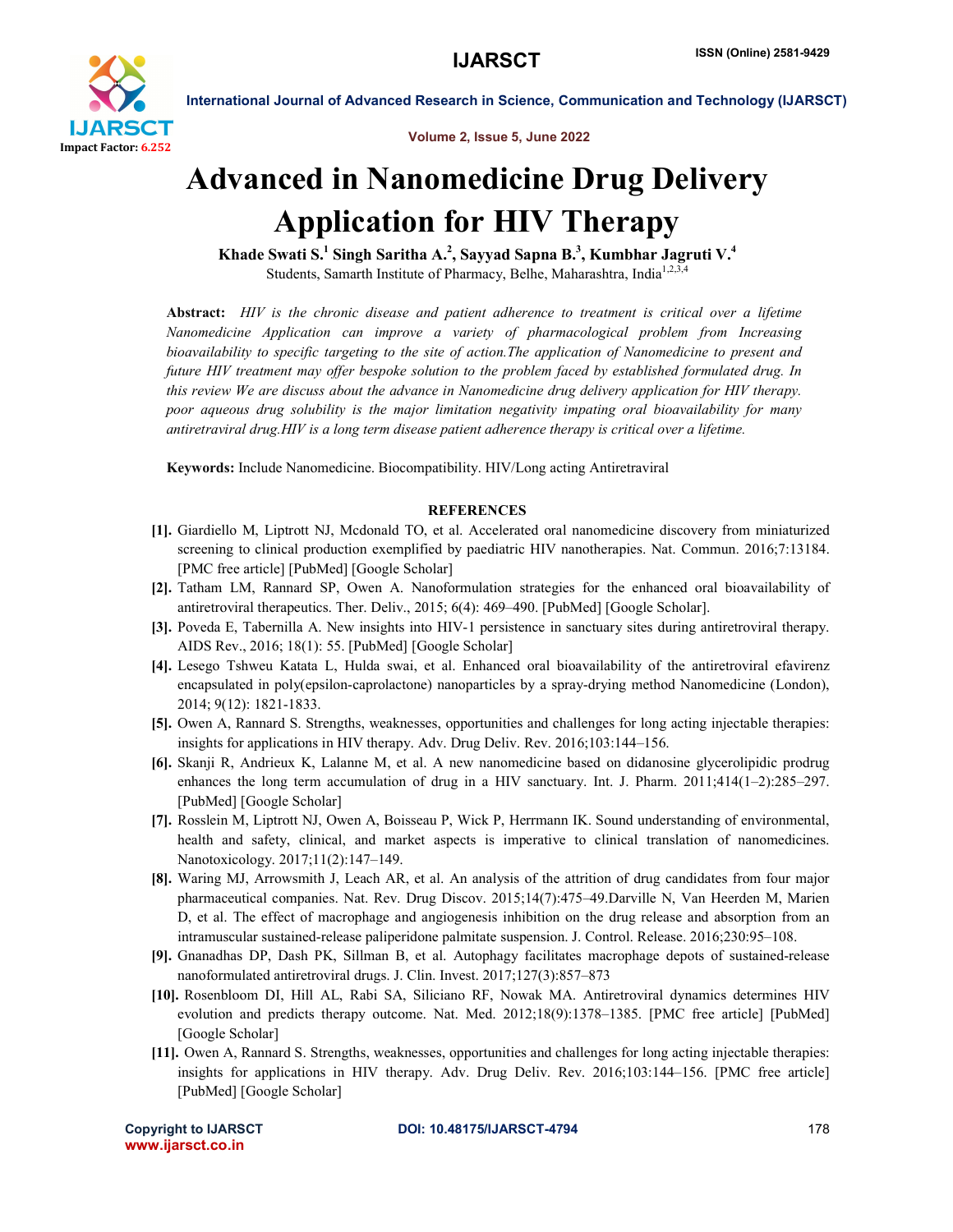

International Journal of Advanced Research in Science, Communication and Technology (IJARSCT)

Volume 2, Issue 5, June 2022

## Advanced in Nanomedicine Drug Delivery Application for HIV Therapy

Khade Swati S. $^1$  Singh Saritha A. $^2$ , Sayyad Sapna B. $^3$ , Kumbhar Jagruti V. $^4$ Students, Samarth Institute of Pharmacy, Belhe, Maharashtra, India<sup>1,2,3,</sup>

Abstract: *HIV is the chronic disease and patient adherence to treatment is critical over a lifetime Nanomedicine Application can improve a variety of pharmacological problem from Increasing bioavailability to specific targeting to the site of action.The application of Nanomedicine to present and future HIV treatment may offer bespoke solution to the problem faced by established formulated drug. In this review We are discuss about the advance in Nanomedicine drug delivery application for HIV therapy. poor aqueous drug solubility is the major limitation negativity impating oral bioavailability for many antiretraviral drug.HIV is a long term disease patient adherence therapy is critical over a lifetime.*

Keywords: Include Nanomedicine. Biocompatibility. HIV/Long acting Antiretraviral

## **REFERENCES**

- [1]. Giardiello M, Liptrott NJ, Mcdonald TO, et al. Accelerated oral nanomedicine discovery from miniaturized screening to clinical production exemplified by paediatric HIV nanotherapies. Nat. Commun. 2016;7:13184. [PMC free article] [PubMed] [Google Scholar]
- [2]. Tatham LM, Rannard SP, Owen A. Nanoformulation strategies for the enhanced oral bioavailability of antiretroviral therapeutics. Ther. Deliv., 2015; 6(4): 469–490. [PubMed] [Google Scholar].
- [3]. Poveda E, Tabernilla A. New insights into HIV-1 persistence in sanctuary sites during antiretroviral therapy. AIDS Rev., 2016; 18(1): 55. [PubMed] [Google Scholar]
- [4]. Lesego Tshweu Katata L, Hulda swai, et al. Enhanced oral bioavailability of the antiretroviral efavirenz encapsulated in poly(epsilon-caprolactone) nanoparticles by a spray-drying method Nanomedicine (London), 2014; 9(12): 1821-1833.
- [5]. Owen A, Rannard S. Strengths, weaknesses, opportunities and challenges for long acting injectable therapies: insights for applications in HIV therapy. Adv. Drug Deliv. Rev. 2016;103:144–156.
- [6]. Skanji R, Andrieux K, Lalanne M, et al. A new nanomedicine based on didanosine glycerolipidic prodrug enhances the long term accumulation of drug in a HIV sanctuary. Int. J. Pharm. 2011;414(1–2):285–297. [PubMed] [Google Scholar]
- [7]. Rosslein M, Liptrott NJ, Owen A, Boisseau P, Wick P, Herrmann IK. Sound understanding of environmental, health and safety, clinical, and market aspects is imperative to clinical translation of nanomedicines. Nanotoxicology. 2017;11(2):147–149.
- [8]. Waring MJ, Arrowsmith J, Leach AR, et al. An analysis of the attrition of drug candidates from four major pharmaceutical companies. Nat. Rev. Drug Discov. 2015;14(7):475–49.Darville N, Van Heerden M, Marien D, et al. The effect of macrophage and angiogenesis inhibition on the drug release and absorption from an intramuscular sustained-release paliperidone palmitate suspension. J. Control. Release. 2016;230:95–108.
- [9]. Gnanadhas DP, Dash PK, Sillman B, et al. Autophagy facilitates macrophage depots of sustained-release nanoformulated antiretroviral drugs. J. Clin. Invest. 2017;127(3):857–873
- [10]. Rosenbloom DI, Hill AL, Rabi SA, Siliciano RF, Nowak MA. Antiretroviral dynamics determines HIV evolution and predicts therapy outcome. Nat. Med. 2012;18(9):1378–1385. [PMC free article] [PubMed] [Google Scholar]
- [11]. Owen A, Rannard S. Strengths, weaknesses, opportunities and challenges for long acting injectable therapies: insights for applications in HIV therapy. Adv. Drug Deliv. Rev. 2016;103:144–156. [PMC free article] [PubMed] [Google Scholar]